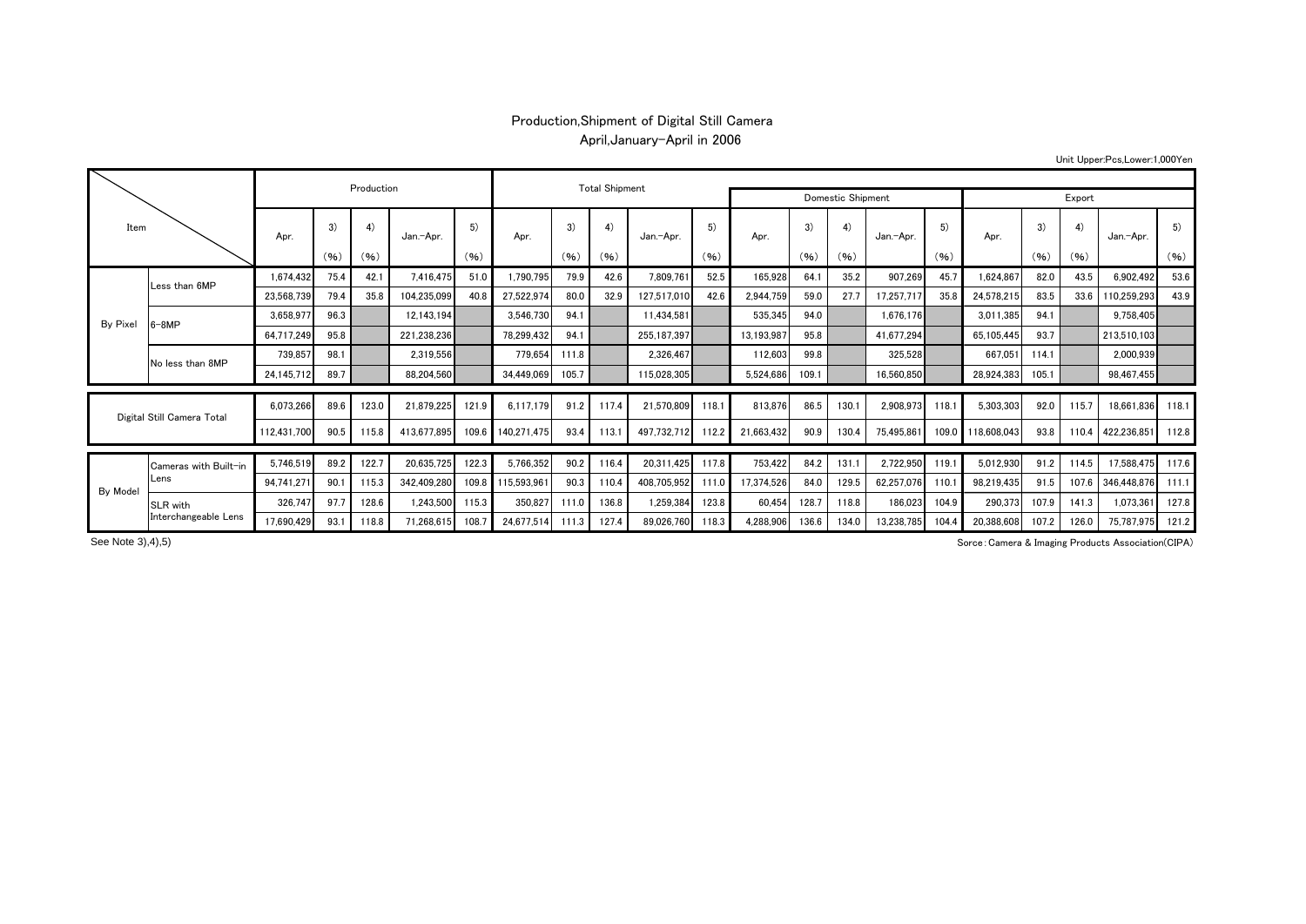## Production,Shipment of Digital Still Camera April,January-April in 2006

Unit Upper:Pcs,Lower:1,000Yen

| Item                       |                               |             | Production |       | <b>Total Shipment</b> |            |             |       |       |             |                   |            |       |       |            |            |             |       |       |             |       |
|----------------------------|-------------------------------|-------------|------------|-------|-----------------------|------------|-------------|-------|-------|-------------|-------------------|------------|-------|-------|------------|------------|-------------|-------|-------|-------------|-------|
|                            |                               |             |            |       |                       |            |             |       |       |             | Domestic Shipment |            |       |       |            |            | Export      |       |       |             |       |
|                            |                               | Apr.        | 3)         | 4)    | Jan.-Apr.             | 5)<br>(96) | Apr.        | 3)    | 4)    | Jan.-Apr.   | 5)<br>(96)        | Apr.       | 3)    | 4)    | Jan.-Apr.  | 5)<br>(96) | Apr.        | 3)    | 4)    | Jan.-Apr.   | 5)    |
|                            |                               |             | (96)       | (96)  |                       |            |             | (96)  | (96)  |             |                   |            | (96)  | (96)  |            |            |             | (96)  | (96)  |             | (96)  |
|                            | Less than 6MP                 | 1,674,432   | 75.4       | 42.1  | 7,416,475             | 51.0       | 1,790,795   | 79.9  | 42.6  | 7,809,761   | 52.5              | 165,928    | 64.1  | 35.2  | 907,269    | 45.7       | 1,624,867   | 82.0  | 43.5  | 6,902,492   | 53.6  |
|                            |                               | 23,568,739  | 79.4       | 35.8  | 104,235,099           | 40.8       | 27,522,974  | 80.0  | 32.9  | 127,517,010 | 42.6              | 2,944,759  | 59.0  | 27.7  | 17,257,717 | 35.8       | 24,578,215  | 83.5  | 33.6  | 110,259,293 | 43.9  |
| By Pixel                   | $3-8MP$                       | 3,658,977   | 96.3       |       | 12,143,194            |            | 3,546,730   | 94.1  |       | 11,434,581  |                   | 535,345    | 94.0  |       | 1,676,176  |            | 3,011,385   | 94.1  |       | 9,758,405   |       |
|                            |                               | 64,717,249  | 95.8       |       | 221,238,236           |            | 78,299,432  | 94.1  |       | 255,187,397 |                   | 13,193,987 | 95.8  |       | 41,677,294 |            | 65,105,445  | 93.7  |       | 213,510,103 |       |
|                            | No less than 8MP              | 739,857     | 98.1       |       | 2,319,556             |            | 779,654     | 111.8 |       | 2,326,467   |                   | 112,603    | 99.8  |       | 325,528    |            | 667,051     | 114.1 |       | 2,000,939   |       |
|                            |                               | 24,145,712  | 89.7       |       | 88.204.560            |            | 34,449,069  | 105.7 |       | 115.028.305 |                   | 5,524,686  | 109.1 |       | 16,560,850 |            | 28,924,383  | 105.  |       | 98.467.455  |       |
|                            |                               |             |            |       |                       |            |             |       |       |             |                   |            |       |       |            |            |             |       |       |             |       |
| Digital Still Camera Total |                               | 6,073,266   | 89.6       | 123.0 | 21,879,225            | 121.9      | 6.117.179   | 91.2  | 117.4 | 21.570.809  | 118.1             | 813,876    | 86.5  | 130.1 | 2,908,973  | 118.1      | 5,303,303   | 92.0  | 115.7 | 18.661.836  | 118.1 |
|                            |                               | 112.431.700 | 90.5       | 115.8 | 413,677,895           | 109.6      | 140,271,475 | 93.4  | 113.1 | 497,732,712 | 112.2             | 21,663,432 | 90.9  | 130.4 | 75,495,861 | 109.0      | 118,608,043 | 93.8  | 110.4 | 422,236,851 | 112.8 |
|                            | Cameras with Built-in<br>Lens | 5,746,519   | 89.2       | 122.7 | 20.635.725            | 122.3      | 5,766,352   | 90.2  | 116.4 | 20.311.425  | 117.8             | 753,422    | 84.2  | 131.1 | 2,722,950  | 119.1      | 5,012,930   | 91.2  | 114.5 | 17,588,475  | 117.6 |
|                            |                               | 94,741,271  | 90.1       | 115.3 | 342.409.280           | 109.8      | 115,593,961 | 90.3  | 110.4 | 408.705.952 | 111.0             | 17,374,526 | 84.0  | 129.5 | 62,257,076 | 110.1      | 98,219,435  | 91.5  | 107.6 | 346,448,876 | 111.1 |
| <b>By Model</b>            | SLR with                      | 326,747     | 97.7       | 128.6 | 1,243,500             | 115.3      | 350.827     | 111.0 | 136.8 | 1,259,384   | 123.8             | 60,454     | 128.7 | 118.8 | 186,023    | 104.9      | 290,373     | 107.9 | 141.3 | 1,073,361   | 127.8 |
|                            | Interchangeable Lens          | 17.690.429  | 93.1       | 118.8 | 71.268.615            | 108.7      | 24.677.514  | 111.3 | 127.4 | 89.026.760  | 118.3             | 4,288,906  | 136.6 | 134.0 | 13,238,785 | 104.4      | 20,388,608  | 107.2 | 126.0 | 75.787.975  | 121.2 |

See Note 3), 4), 5)

Sorce:Camera & Imaging Products Association(CIPA)